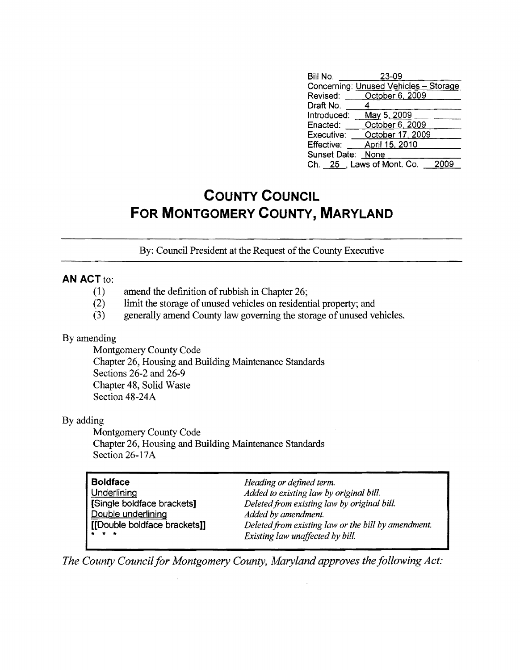| Bill No.          | 23-09                                 |      |
|-------------------|---------------------------------------|------|
|                   | Concerning: Unused Vehicles - Storage |      |
| Revised:          | October 6, 2009                       |      |
| Draft No.         |                                       |      |
| Introduced:       | May 5, 2009                           |      |
| Enacted:          | October 6, 2009                       |      |
| Executive:        | October 17, 2009                      |      |
| <b>Effective:</b> | April 15, 2010                        |      |
| Sunset Date:      | None                                  |      |
|                   | Ch. 25 , Laws of Mont. Co.            | 2009 |

## **COUNTY COUNCIL FOR MONTGOMERY COUNTY, MARYLAND**

By: Council President at the Request of the County Executive

## **AN ACT** to:

- (1) amend the definition of rubbish in Chapter 26;
- (2) limit the storage of unused vehicles on residential property; and
- (3) generally amend County law governing the storage of unused vehicles.

## By amending

Montgomery County Code Chapter 26, Housing and Building Maintenance Standards Sections 26-2 and 26-9 Chapter 48, Solid Waste Section 48-24A

## By adding

Montgomery County Code Chapter 26, Housing and Building Maintenance Standards Section 26-17A

| <b>Boldface</b>              | Heading or defined term.                            |
|------------------------------|-----------------------------------------------------|
| Underlining                  | Added to existing law by original bill.             |
| [Single boldface brackets]   | Deleted from existing law by original bill.         |
| Double underlining           | Added by amendment.                                 |
| [[Double boldface brackets]] | Deleted from existing law or the bill by amendment. |
| $\star$ $\star$ $\star$      | Existing law unaffected by bill.                    |

*The County Council for Montgomery County, Maryland approves the following Act:*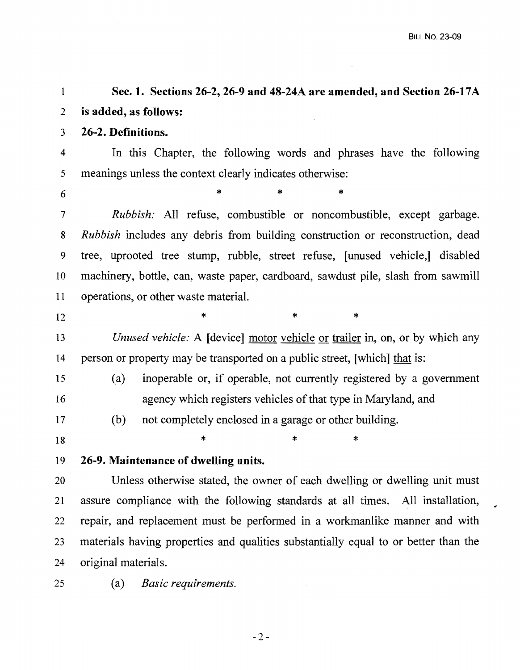$\bullet$ 

 $\sim$   $\sim$ 

| 1                        | Sec. 1. Sections 26-2, 26-9 and 48-24A are amended, and Section 26-17A                |
|--------------------------|---------------------------------------------------------------------------------------|
| $\overline{2}$           | is added, as follows:                                                                 |
| 3                        | 26-2. Definitions.                                                                    |
| $\overline{4}$           | In this Chapter, the following words and phrases have the following                   |
| 5                        | meanings unless the context clearly indicates otherwise:                              |
| 6                        | ∗<br>$\ast$                                                                           |
| $\overline{\mathcal{I}}$ | <i>Rubbish:</i> All refuse, combustible or noncombustible, except garbage.            |
| 8                        | <i>Rubbish</i> includes any debris from building construction or reconstruction, dead |
| 9                        | tree, uprooted tree stump, rubble, street refuse, [unused vehicle,] disabled          |
| 10                       | machinery, bottle, can, waste paper, cardboard, sawdust pile, slash from sawmill      |
| 11                       | operations, or other waste material.                                                  |
| 12                       | ∗<br>∗<br>∗                                                                           |
| 13                       | <i>Unused vehicle:</i> A [device] motor vehicle or trailer in, on, or by which any    |
| 14                       | person or property may be transported on a public street, [which] that is:            |
| 15                       | inoperable or, if operable, not currently registered by a government<br>(a)           |
| 16                       | agency which registers vehicles of that type in Maryland, and                         |
| 17                       | (b)<br>not completely enclosed in a garage or other building.                         |
| 18                       | *<br>∗                                                                                |
| 19                       | 26-9. Maintenance of dwelling units.                                                  |
| 20                       | Unless otherwise stated, the owner of each dwelling or dwelling unit must             |
| 21                       | assure compliance with the following standards at all times. All installation,        |
| 22                       | repair, and replacement must be performed in a workmanlike manner and with            |
| 23                       | materials having properties and qualities substantially equal to or better than the   |
| 24                       | original materials.                                                                   |

25 (a) *Basic requirements.*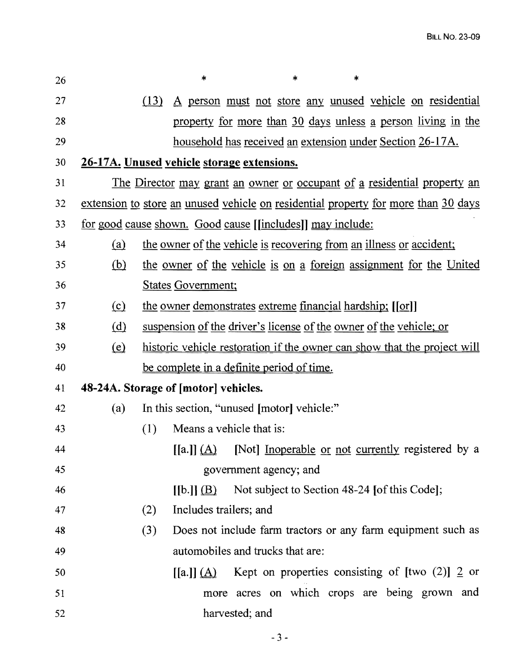| 26 |                              | $\ast$<br>$\ast$<br>*                                                                                  |
|----|------------------------------|--------------------------------------------------------------------------------------------------------|
| 27 |                              | A person must not store any unused vehicle on residential<br>(13)                                      |
| 28 |                              | property for more than 30 days unless a person living in the                                           |
| 29 |                              | household has received an extension under Section 26-17A.                                              |
| 30 |                              | 26-17A. Unused vehicle storage extensions.                                                             |
| 31 |                              | The Director may grant an owner or occupant of a residential property an                               |
| 32 |                              | extension to store an unused vehicle on residential property for more than 30 days                     |
| 33 |                              | <u>for good cause shown. Good cause [[includes]] may include:</u>                                      |
| 34 | (a)                          | the owner of the vehicle is recovering from an illness or accident;                                    |
| 35 | (b)                          | the owner of the vehicle is on a foreign assignment for the United                                     |
| 36 |                              | <b>States Government;</b>                                                                              |
| 37 | $\Omega$                     | the owner demonstrates extreme financial hardship; [[or]]                                              |
| 38 | (d)                          | suspension of the driver's license of the owner of the vehicle; or                                     |
| 39 | $\left(\underline{e}\right)$ | historic vehicle restoration if the owner can show that the project will                               |
| 40 |                              | be complete in a definite period of time.                                                              |
| 41 |                              | 48-24A. Storage of [motor] vehicles.                                                                   |
| 42 | (a)                          | In this section, "unused [motor] vehicle:"                                                             |
| 43 |                              | (1)<br>Means a vehicle that is:                                                                        |
| 44 |                              | [Not] Inoperable or not currently registered by a<br>$\left[ \left[ a.\right] \right] \left( A\right)$ |
| 45 |                              | government agency; and                                                                                 |
| 46 |                              | Not subject to Section 48-24 [of this Code];<br>[[b.]](B)                                              |
| 47 |                              | Includes trailers; and<br>(2)                                                                          |
| 48 |                              | Does not include farm tractors or any farm equipment such as<br>(3)                                    |
| 49 |                              | automobiles and trucks that are:                                                                       |
| 50 |                              | Kept on properties consisting of [two $(2)$ ] 2 or<br>$[[a]](\underline{A})$                           |
| 51 |                              | more acres on which crops are being grown and                                                          |
| 52 |                              | harvested; and                                                                                         |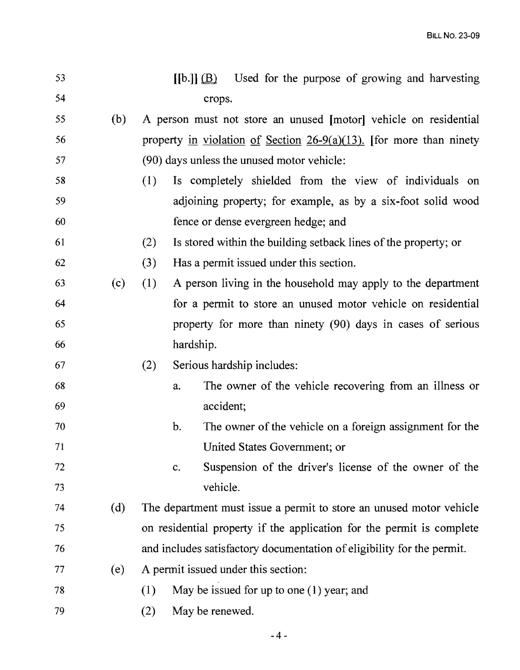| 53 |     |     | [[b.]](B)   | Used for the purpose of growing and harvesting                         |
|----|-----|-----|-------------|------------------------------------------------------------------------|
| 54 |     |     |             | crops.                                                                 |
| 55 | (b) |     |             | A person must not store an unused [motor] vehicle on residential       |
| 56 |     |     |             | property in violation of Section $26-9(a)(13)$ . [for more than ninety |
| 57 |     |     |             | (90) days unless the unused motor vehicle:                             |
| 58 |     | (1) |             | Is completely shielded from the view of individuals on                 |
| 59 |     |     |             | adjoining property; for example, as by a six-foot solid wood           |
| 60 |     |     |             | fence or dense evergreen hedge; and                                    |
| 61 |     | (2) |             | Is stored within the building setback lines of the property; or        |
| 62 |     | (3) |             | Has a permit issued under this section.                                |
| 63 | (c) | (1) |             | A person living in the household may apply to the department           |
| 64 |     |     |             | for a permit to store an unused motor vehicle on residential           |
| 65 |     |     |             | property for more than ninety (90) days in cases of serious            |
| 66 |     |     | hardship.   |                                                                        |
| 67 |     | (2) |             | Serious hardship includes:                                             |
| 68 |     |     | a.          | The owner of the vehicle recovering from an illness or                 |
| 69 |     |     |             | accident;                                                              |
| 70 |     |     | b.          | The owner of the vehicle on a foreign assignment for the               |
| 71 |     |     |             | United States Government; or                                           |
| 72 |     |     | $C_{\star}$ | Suspension of the driver's license of the owner of the                 |
| 73 |     |     |             | vehicle.                                                               |
| 74 | (d) |     |             | The department must issue a permit to store an unused motor vehicle    |
| 75 |     |     |             | on residential property if the application for the permit is complete  |
| 76 |     |     |             | and includes satisfactory documentation of eligibility for the permit. |
| 77 | (e) |     |             | A permit issued under this section:                                    |
| 78 |     | (1) |             | May be issued for up to one $(1)$ year; and                            |
| 79 |     | (2) |             | May be renewed.                                                        |